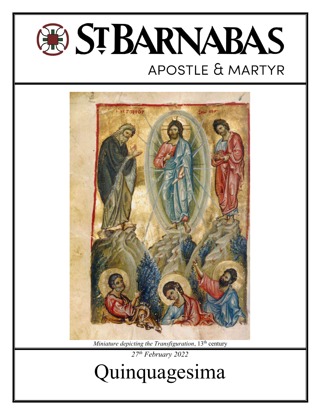



Miniature depicting the Transfiguration,  $13<sup>th</sup>$  century 27<sup>th</sup> February 2022

Quinquagesima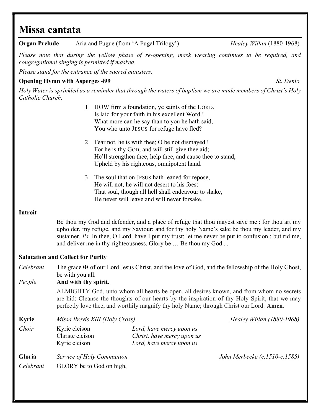# Missa cantata

| <b>Organ Prelude</b>           |                                                                                                                                                                                                                                                                                                                                                                      | Aria and Fugue (from 'A Fugal Trilogy')                                                                                                                                                               | Healey Willan $(1880-1968)$   |
|--------------------------------|----------------------------------------------------------------------------------------------------------------------------------------------------------------------------------------------------------------------------------------------------------------------------------------------------------------------------------------------------------------------|-------------------------------------------------------------------------------------------------------------------------------------------------------------------------------------------------------|-------------------------------|
|                                | congregational singing is permitted if masked.                                                                                                                                                                                                                                                                                                                       | Please note that during the yellow phase of re-opening, mask wearing continues to be required, and                                                                                                    |                               |
|                                | Please stand for the entrance of the sacred ministers.                                                                                                                                                                                                                                                                                                               |                                                                                                                                                                                                       |                               |
|                                | <b>Opening Hymn with Asperges 499</b>                                                                                                                                                                                                                                                                                                                                |                                                                                                                                                                                                       | St. Denio                     |
| Catholic Church.               |                                                                                                                                                                                                                                                                                                                                                                      | Holy Water is sprinkled as a reminder that through the waters of baptism we are made members of Christ's Holy                                                                                         |                               |
|                                | $\mathbf{1}$                                                                                                                                                                                                                                                                                                                                                         | HOW firm a foundation, ye saints of the LORD,<br>Is laid for your faith in his excellent Word !<br>What more can he say than to you he hath said,<br>You who unto JESUS for refuge have fled?         |                               |
|                                | 2                                                                                                                                                                                                                                                                                                                                                                    | Fear not, he is with thee; O be not dismayed !<br>For he is thy GOD, and will still give thee aid;<br>He'll strengthen thee, help thee, and cause thee to stand,                                      |                               |
|                                |                                                                                                                                                                                                                                                                                                                                                                      | Upheld by his righteous, omnipotent hand.                                                                                                                                                             |                               |
|                                | 3                                                                                                                                                                                                                                                                                                                                                                    | The soul that on JESUS hath leaned for repose,<br>He will not, he will not desert to his foes;<br>That soul, though all hell shall endeavour to shake,<br>He never will leave and will never forsake. |                               |
| <b>Introit</b>                 |                                                                                                                                                                                                                                                                                                                                                                      |                                                                                                                                                                                                       |                               |
|                                | Be thou my God and defender, and a place of refuge that thou mayest save me : for thou art my<br>upholder, my refuge, and my Saviour; and for thy holy Name's sake be thou my leader, and my<br>sustainer. Ps. In thee, O Lord, have I put my trust; let me never be put to confusion : but rid me,<br>and deliver me in thy righteousness. Glory be  Be thou my God |                                                                                                                                                                                                       |                               |
|                                | <b>Salutation and Collect for Purity</b>                                                                                                                                                                                                                                                                                                                             |                                                                                                                                                                                                       |                               |
| Celebrant                      | The grace $\mathbf{\Psi}$ of our Lord Jesus Christ, and the love of God, and the fellowship of the Holy Ghost,<br>be with you all.                                                                                                                                                                                                                                   |                                                                                                                                                                                                       |                               |
| And with thy spirit.<br>People |                                                                                                                                                                                                                                                                                                                                                                      |                                                                                                                                                                                                       |                               |
|                                | ALMIGHTY God, unto whom all hearts be open, all desires known, and from whom no secrets<br>are hid: Cleanse the thoughts of our hearts by the inspiration of thy Holy Spirit, that we may<br>perfectly love thee, and worthily magnify thy holy Name; through Christ our Lord. Amen.                                                                                 |                                                                                                                                                                                                       |                               |
| <b>Kyrie</b>                   | Missa Brevis XIII (Holy Cross)                                                                                                                                                                                                                                                                                                                                       |                                                                                                                                                                                                       | Healey Willan (1880-1968)     |
| Choir                          | Kyrie eleison<br>Christe eleison<br>Kyrie eleison                                                                                                                                                                                                                                                                                                                    | Lord, have mercy upon us<br>Christ, have mercy upon us<br>Lord, have mercy upon us                                                                                                                    |                               |
| Gloria                         | Service of Holy Communion                                                                                                                                                                                                                                                                                                                                            |                                                                                                                                                                                                       | John Merbecke (c.1510-c.1585) |
| Celebrant                      | GLORY be to God on high,                                                                                                                                                                                                                                                                                                                                             |                                                                                                                                                                                                       |                               |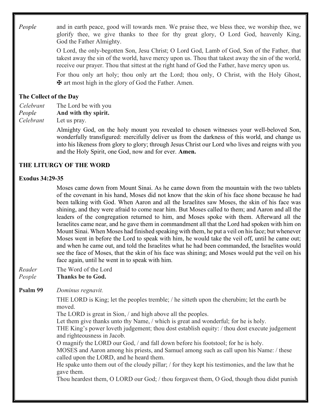People and in earth peace, good will towards men. We praise thee, we bless thee, we worship thee, we glorify thee, we give thanks to thee for thy great glory, O Lord God, heavenly King, God the Father Almighty.

> O Lord, the only-begotten Son, Jesu Christ; O Lord God, Lamb of God, Son of the Father, that takest away the sin of the world, have mercy upon us. Thou that takest away the sin of the world, receive our prayer. Thou that sittest at the right hand of God the Father, have mercy upon us.

> For thou only art holy; thou only art the Lord; thou only, O Christ, with the Holy Ghost, ✠ art most high in the glory of God the Father. Amen.

# The Collect of the Day

Celebrant The Lord be with you People And with thy spirit. Celebrant Let us pray.

> Almighty God, on the holy mount you revealed to chosen witnesses your well-beloved Son, wonderfully transfigured: mercifully deliver us from the darkness of this world, and change us into his likeness from glory to glory; through Jesus Christ our Lord who lives and reigns with you and the Holy Spirit, one God, now and for ever. Amen.

# THE LITURGY OF THE WORD

#### Exodus 34:29-35

 Moses came down from Mount Sinai. As he came down from the mountain with the two tablets of the covenant in his hand, Moses did not know that the skin of his face shone because he had been talking with God. When Aaron and all the Israelites saw Moses, the skin of his face was shining, and they were afraid to come near him. But Moses called to them; and Aaron and all the leaders of the congregation returned to him, and Moses spoke with them. Afterward all the Israelites came near, and he gave them in commandment all that the Lord had spoken with him on Mount Sinai. When Moses had finished speaking with them, he put a veil on his face; but whenever Moses went in before the Lord to speak with him, he would take the veil off, until he came out; and when he came out, and told the Israelites what he had been commanded, the Israelites would see the face of Moses, that the skin of his face was shining; and Moses would put the veil on his face again, until he went in to speak with him.

- Reader The Word of the Lord People Thanks be to God.
- Psalm 99 Dominus regnavit.

THE LORD is King; let the peoples tremble; / he sitteth upon the cherubim; let the earth be moved.

The LORD is great in Sion, / and high above all the peoples.

Let them give thanks unto thy Name, / which is great and wonderful; for he is holy.

THE King's power loveth judgement; thou dost establish equity: / thou dost execute judgement and righteousness in Jacob.

O magnify the LORD our God, / and fall down before his footstool; for he is holy.

MOSES and Aaron among his priests, and Samuel among such as call upon his Name: / these called upon the LORD, and he heard them.

He spake unto them out of the cloudy pillar; / for they kept his testimonies, and the law that he gave them.

Thou heardest them, O LORD our God; / thou forgavest them, O God, though thou didst punish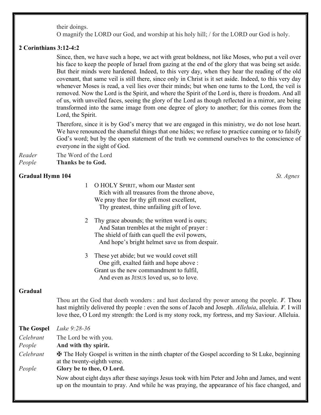their doings.

O magnify the LORD our God, and worship at his holy hill; / for the LORD our God is holy.

#### 2 Corinthians 3:12-4:2

 Since, then, we have such a hope, we act with great boldness, not like Moses, who put a veil over his face to keep the people of Israel from gazing at the end of the glory that was being set aside. But their minds were hardened. Indeed, to this very day, when they hear the reading of the old covenant, that same veil is still there, since only in Christ is it set aside. Indeed, to this very day whenever Moses is read, a veil lies over their minds; but when one turns to the Lord, the veil is removed. Now the Lord is the Spirit, and where the Spirit of the Lord is, there is freedom. And all of us, with unveiled faces, seeing the glory of the Lord as though reflected in a mirror, are being transformed into the same image from one degree of glory to another; for this comes from the Lord, the Spirit.

 Therefore, since it is by God's mercy that we are engaged in this ministry, we do not lose heart. We have renounced the shameful things that one hides; we refuse to practice cunning or to falsify God's word; but by the open statement of the truth we commend ourselves to the conscience of everyone in the sight of God.

Reader The Word of the Lord

People Thanks be to God.

#### Gradual Hymn 104 St. Agnes St. Agnes St. Agnes St. Agnes St. Agnes St. Agnes St. Agnes St. Agnes St. Agnes St. Agnes St. Agnes St. Agnes St. Agnes St. Agnes St. Agnes St. Agnes St. Agnes St. Agnes St. Agnes St. Agnes St. A

- 1 O HOLY SPIRIT, whom our Master sent Rich with all treasures from the throne above, We pray thee for thy gift most excellent, Thy greatest, thine unfailing gift of love.
- 2 Thy grace abounds; the written word is ours; And Satan trembles at the might of prayer : The shield of faith can quell the evil powers, And hope's bright helmet save us from despair.
- 3 These yet abide; but we would covet still One gift, exalted faith and hope above : Grant us the new commandment to fulfil, And even as JESUS loved us, so to love.

#### Gradual

Thou art the God that doeth wonders : and hast declared thy power among the people.  $\mathcal{V}$ . Thou hast mightily delivered thy people : even the sons of Jacob and Joseph. Alleluia, alleluia.  $V$ . I will love thee, O Lord my strength: the Lord is my stony rock, my fortress, and my Saviour. Alleluia.

| <b>The Gospel</b> | Luke 9:28-36                                                                                                                                                                                     |  |
|-------------------|--------------------------------------------------------------------------------------------------------------------------------------------------------------------------------------------------|--|
| Celebrant         | The Lord be with you.                                                                                                                                                                            |  |
| People            | And with thy spirit.                                                                                                                                                                             |  |
| Celebrant         | <b><math>\bf\Phi</math></b> The Holy Gospel is written in the ninth chapter of the Gospel according to St Luke, beginning<br>at the twenty-eighth verse.                                         |  |
| People            | Glory be to thee, O Lord.                                                                                                                                                                        |  |
|                   | Now about eight days after these sayings Jesus took with him Peter and John and James, and went<br>up on the mountain to pray. And while he was praying, the appearance of his face changed, and |  |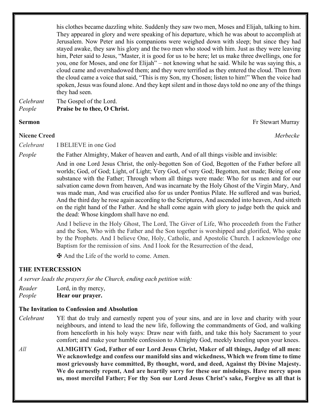his clothes became dazzling white. Suddenly they saw two men, Moses and Elijah, talking to him. They appeared in glory and were speaking of his departure, which he was about to accomplish at Jerusalem. Now Peter and his companions were weighed down with sleep; but since they had stayed awake, they saw his glory and the two men who stood with him. Just as they were leaving him, Peter said to Jesus, "Master, it is good for us to be here; let us make three dwellings, one for you, one for Moses, and one for Elijah" – not knowing what he said. While he was saying this, a cloud came and overshadowed them; and they were terrified as they entered the cloud. Then from the cloud came a voice that said, "This is my Son, my Chosen; listen to him!" When the voice had spoken, Jesus was found alone. And they kept silent and in those days told no one any of the things they had seen.

Celebrant The Gospel of the Lord. People Praise be to thee, O Christ.

#### Sermon Fr Stewart Murray

Nicene Creed Merbecke

Celebrant I BELIEVE in one God

People the Father Almighty, Maker of heaven and earth, And of all things visible and invisible:

 And in one Lord Jesus Christ, the only-begotten Son of God, Begotten of the Father before all worlds; God, of God; Light, of Light; Very God, of very God; Begotten, not made; Being of one substance with the Father; Through whom all things were made: Who for us men and for our salvation came down from heaven, And was incarnate by the Holy Ghost of the Virgin Mary, And was made man, And was crucified also for us under Pontius Pilate. He suffered and was buried, And the third day he rose again according to the Scriptures, And ascended into heaven, And sitteth on the right hand of the Father. And he shall come again with glory to judge both the quick and the dead: Whose kingdom shall have no end.

And I believe in the Holy Ghost, The Lord, The Giver of Life, Who proceedeth from the Father and the Son, Who with the Father and the Son together is worshipped and glorified, Who spake by the Prophets. And I believe One, Holy, Catholic, and Apostolic Church. I acknowledge one Baptism for the remission of sins. And I look for the Resurrection of the dead,

✠ And the Life of the world to come. Amen.

#### THE INTERCESSION

A server leads the prayers for the Church, ending each petition with:

Reader Lord, in thy mercy, People **Hear our prayer.** 

#### The Invitation to Confession and Absolution

- Celebrant YE that do truly and earnestly repent you of your sins, and are in love and charity with your neighbours, and intend to lead the new life, following the commandments of God, and walking from henceforth in his holy ways: Draw near with faith, and take this holy Sacrament to your comfort; and make your humble confession to Almighty God, meekly kneeling upon your knees.
- All **ALMIGHTY God, Father of our Lord Jesus Christ, Maker of all things, Judge of all men:** We acknowledge and confess our manifold sins and wickedness, Which we from time to time most grievously have committed, By thought, word, and deed, Against thy Divine Majesty. We do earnestly repent, And are heartily sorry for these our misdoings. Have mercy upon us, most merciful Father; For thy Son our Lord Jesus Christ's sake, Forgive us all that is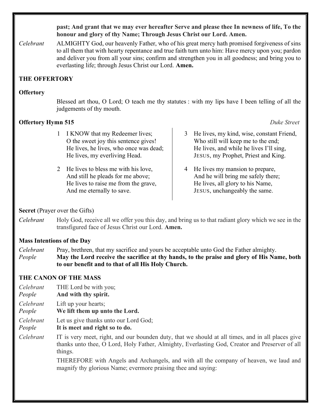past; And grant that we may ever hereafter Serve and please thee In newness of life, To the honour and glory of thy Name; Through Jesus Christ our Lord. Amen.

Celebrant ALMIGHTY God, our heavenly Father, who of his great mercy hath promised forgiveness of sins to all them that with hearty repentance and true faith turn unto him: Have mercy upon you; pardon and deliver you from all your sins; confirm and strengthen you in all goodness; and bring you to everlasting life; through Jesus Christ our Lord. Amen.

# THE OFFERTORY

#### **Offertory**

Blessed art thou, O Lord; O teach me thy statutes : with my lips have I been telling of all the judgements of thy mouth.

### **Offertory Hymn 515** Duke Street

- 1 I KNOW that my Redeemer lives; O the sweet joy this sentence gives! He lives, he lives, who once was dead; He lives, my everliving Head.
- 2 He lives to bless me with his love, And still he pleads for me above; He lives to raise me from the grave, And me eternally to save.
- 3 He lives, my kind, wise, constant Friend, Who still will keep me to the end; He lives, and while he lives I'll sing, JESUS, my Prophet, Priest and King.
- 4 He lives my mansion to prepare, And he will bring me safely there; He lives, all glory to his Name, JESUS, unchangeably the same.

### Secret (Prayer over the Gifts)

Celebrant Holy God, receive all we offer you this day, and bring us to that radiant glory which we see in the transfigured face of Jesus Christ our Lord. Amen.

### Mass Intentions of the Day

Celebrant Pray, brethren, that my sacrifice and yours be acceptable unto God the Father almighty. People May the Lord receive the sacrifice at thy hands, to the praise and glory of His Name, both to our benefit and to that of all His Holy Church.

### THE CANON OF THE MASS

- Celebrant THE Lord be with you;
- People And with thy spirit.
- Celebrant Lift up your hearts;
- People We lift them up unto the Lord.
- Celebrant Let us give thanks unto our Lord God;
- People It is meet and right so to do.
- Celebrant IT is very meet, right, and our bounden duty, that we should at all times, and in all places give thanks unto thee, O Lord, Holy Father, Almighty, Everlasting God, Creator and Preserver of all things.

THEREFORE with Angels and Archangels, and with all the company of heaven, we laud and magnify thy glorious Name; evermore praising thee and saying: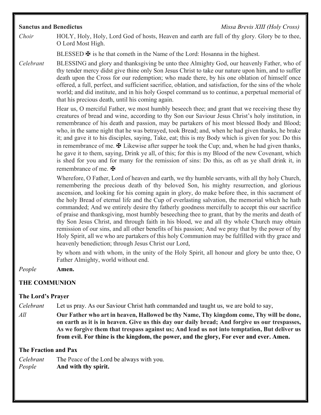## Sanctus and Benedictus **Missa Brevis XIII (Holy Cross)**

Choir HOLY, Holy, Holy, Lord God of hosts, Heaven and earth are full of thy glory. Glory be to thee, O Lord Most High.

BLESSED  $\mathbf \Psi$  is he that cometh in the Name of the Lord: Hosanna in the highest.

Celebrant BLESSING and glory and thanksgiving be unto thee Almighty God, our heavenly Father, who of thy tender mercy didst give thine only Son Jesus Christ to take our nature upon him, and to suffer death upon the Cross for our redemption; who made there, by his one oblation of himself once offered, a full, perfect, and sufficient sacrifice, oblation, and satisfaction, for the sins of the whole world; and did institute, and in his holy Gospel command us to continue, a perpetual memorial of that his precious death, until his coming again.

> Hear us, O merciful Father, we most humbly beseech thee; and grant that we receiving these thy creatures of bread and wine, according to thy Son our Saviour Jesus Christ's holy institution, in remembrance of his death and passion, may be partakers of his most blessed Body and Blood; who, in the same night that he was betrayed, took Bread; and, when he had given thanks, he brake it; and gave it to his disciples, saying, Take, eat; this is my Body which is given for you: Do this in remembrance of me.  $\mathbf \Psi$  Likewise after supper he took the Cup; and, when he had given thanks, he gave it to them, saying, Drink ye all, of this; for this is my Blood of the new Covenant, which is shed for you and for many for the remission of sins: Do this, as oft as ye shall drink it, in remembrance of me.  $\mathbf{\ddot{H}}$

> Wherefore, O Father, Lord of heaven and earth, we thy humble servants, with all thy holy Church, remembering the precious death of thy beloved Son, his mighty resurrection, and glorious ascension, and looking for his coming again in glory, do make before thee, in this sacrament of the holy Bread of eternal life and the Cup of everlasting salvation, the memorial which he hath commanded; And we entirely desire thy fatherly goodness mercifully to accept this our sacrifice of praise and thanksgiving, most humbly beseeching thee to grant, that by the merits and death of thy Son Jesus Christ, and through faith in his blood, we and all thy whole Church may obtain remission of our sins, and all other benefits of his passion; And we pray that by the power of thy Holy Spirit, all we who are partakers of this holy Communion may be fulfilled with thy grace and heavenly benediction; through Jesus Christ our Lord,

> by whom and with whom, in the unity of the Holy Spirit, all honour and glory be unto thee, O Father Almighty, world without end.

People Amen.

# THE COMMUNION

### The Lord's Prayer

Celebrant Let us pray. As our Saviour Christ hath commanded and taught us, we are bold to say,

 $All$  Our Father who art in heaven, Hallowed be thy Name, Thy kingdom come, Thy will be done, on earth as it is in heaven. Give us this day our daily bread; And forgive us our trespasses, As we forgive them that trespass against us; And lead us not into temptation, But deliver us from evil. For thine is the kingdom, the power, and the glory, For ever and ever. Amen.

### The Fraction and Pax

| Celebrant | The Peace of the Lord be always with you. |
|-----------|-------------------------------------------|
| People    | And with thy spirit.                      |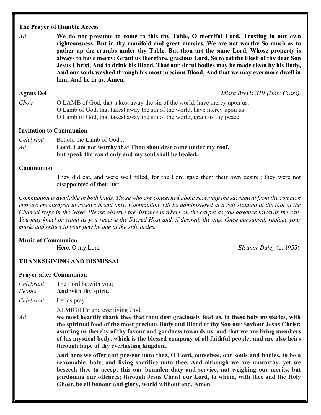## The Prayer of Humble Access

 $All$  We do not presume to come to this thy Table, O merciful Lord, Trusting in our own righteousness, But in thy manifold and great mercies. We are not worthy So much as to gather up the crumbs under thy Table. But thou art the same Lord, Whose property is always to have mercy: Grant us therefore, gracious Lord, So to eat the Flesh of thy dear Son Jesus Christ, And to drink his Blood, That our sinful bodies may be made clean by his Body, And our souls washed through his most precious Blood, And that we may evermore dwell in him, And he in us. Amen.

Agnus Dei **Agnus Dei** Missa Brevis XIII (Holy Cross)

Choir O LAMB of God, that takest away the sin of the world, have mercy upon us. O Lamb of God, that takest away the sin of the world, have mercy upon us.

O Lamb of God, that takest away the sin of the world, grant us thy peace.

# Invitation to Communion

Celebrant Behold the Lamb of God ...  $All$  Lord, I am not worthy that Thou shouldest come under my roof, but speak the word only and my soul shall be healed.

# Communion

They did eat, and were well filled, for the Lord gave them their own desire : they were not disappointed of their lust.

Communion is available in both kinds. Those who are concerned about receiving the sacrament from the common cup are encouraged to receive bread only. Communion will be administered at a rail situated at the foot of the Chancel steps in the Nave. Please observe the distance markers on the carpet as you advance towards the rail. You may kneel or stand as you receive the Sacred Host and, if desired, the cup. Once consumed, replace your mask, and return to your pew by one of the side aisles.

# Music at Communion

Here, O my Lord Eleanor Daley (b. 1955)

# THANKSGIVING AND DISMISSAL

### Prayer after Communion

Celebrant The Lord be with you;

People And with thy spirit.

Celebrant Let us pray.

ALMIGHTY and everliving God,

All we most heartily thank thee that thou dost graciously feed us, in these holy mysteries, with the spiritual food of the most precious Body and Blood of thy Son our Saviour Jesus Christ; assuring us thereby of thy favour and goodness towards us; and that we are living members of his mystical body, which is the blessed company of all faithful people; and are also heirs through hope of thy everlasting kingdom.

> And here we offer and present unto thee, O Lord, ourselves, our souls and bodies, to be a reasonable, holy, and living sacrifice unto thee. And although we are unworthy, yet we beseech thee to accept this our bounden duty and service, not weighing our merits, but pardoning our offences; through Jesus Christ our Lord, to whom, with thee and the Holy Ghost, be all honour and glory, world without end. Amen.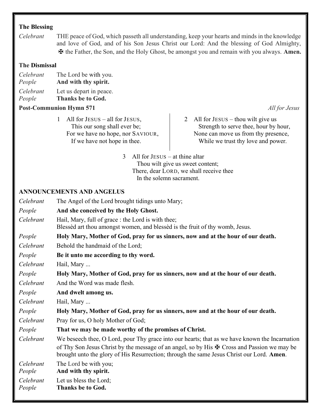## The Blessing

Celebrant THE peace of God, which passeth all understanding, keep your hearts and minds in the knowledge and love of God, and of his Son Jesus Christ our Lord: And the blessing of God Almighty, ✠ the Father, the Son, and the Holy Ghost, be amongst you and remain with you always. Amen.

#### The Dismissal

| Celebrant | The Lord be with you.   |
|-----------|-------------------------|
| People    | And with thy spirit.    |
| Celebrant | Let us depart in peace. |

People Thanks be to God.

#### **Post-Communion Hymn 571** All for Jesus and the set of the set of the set of the set of the set of the set of the set of the set of the set of the set of the set of the set of the set of the set of the set of the set of th

- 1 All for JESUS all for JESUS, This our song shall ever be; For we have no hope, nor SAVIOUR, If we have not hope in thee.
- 2 All for JESUS thou wilt give us Strength to serve thee, hour by hour, None can move us from thy presence,

While we trust thy love and power.

3 All for JESUS – at thine altar Thou wilt give us sweet content; There, dear LORD, we shall receive thee In the solemn sacrament.

#### ANNOUNCEMENTS AND ANGELUS

Celebrant The Angel of the Lord brought tidings unto Mary;

- People And she conceived by the Holy Ghost.
- Celebrant Hail, Mary, full of grace : the Lord is with thee; Blessèd art thou amongst women, and blessèd is the fruit of thy womb, Jesus.
- People Holy Mary, Mother of God, pray for us sinners, now and at the hour of our death.
- Celebrant Behold the handmaid of the Lord:
- People Be it unto me according to thy word.

Celebrant Hail, Mary ...

People Holy Mary, Mother of God, pray for us sinners, now and at the hour of our death.

Celebrant And the Word was made flesh.

People And dwelt among us.

Celebrant Hail, Mary ...

People Holy Mary, Mother of God, pray for us sinners, now and at the hour of our death.

Celebrant Pray for us, O holy Mother of God;

People That we may be made worthy of the promises of Christ.

Celebrant We beseech thee, O Lord, pour Thy grace into our hearts; that as we have known the Incarnation of Thy Son Jesus Christ by the message of an angel, so by His  $\mathbf{\mathcal{F}}$  Cross and Passion we may be brought unto the glory of His Resurrection; through the same Jesus Christ our Lord. Amen.

Celebrant The Lord be with you;

People And with thy spirit.

Celebrant Let us bless the Lord;

People Thanks be to God.